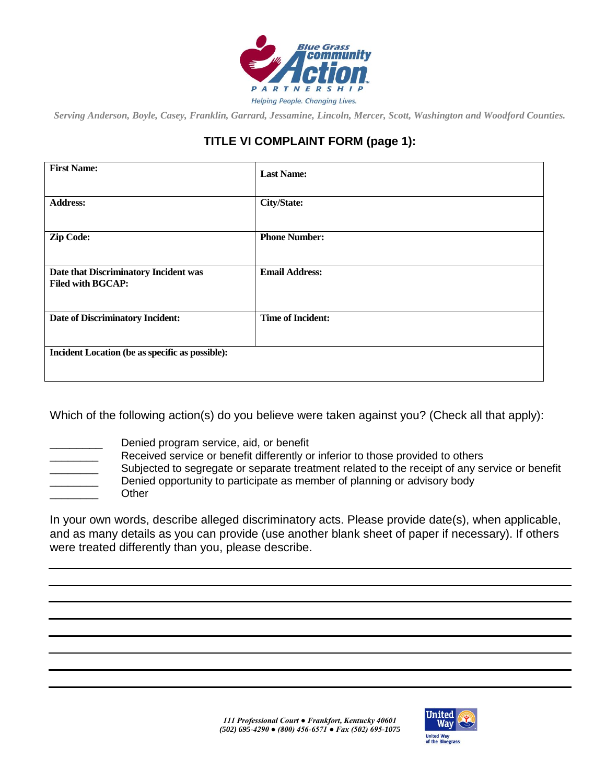

*Serving Anderson, Boyle, Casey, Franklin, Garrard, Jessamine, Lincoln, Mercer, Scott, Washington and Woodford Counties.*

## **TITLE VI COMPLAINT FORM (page 1):**

| <b>First Name:</b>                                                | <b>Last Name:</b>        |  |
|-------------------------------------------------------------------|--------------------------|--|
| <b>Address:</b>                                                   | <b>City/State:</b>       |  |
| <b>Zip Code:</b>                                                  | <b>Phone Number:</b>     |  |
| Date that Discriminatory Incident was<br><b>Filed with BGCAP:</b> | <b>Email Address:</b>    |  |
| <b>Date of Discriminatory Incident:</b>                           | <b>Time of Incident:</b> |  |
| Incident Location (be as specific as possible):                   |                          |  |

Which of the following action(s) do you believe were taken against you? (Check all that apply):

- 
- Denied program service, aid, or benefit
	- Received service or benefit differently or inferior to those provided to others Subjected to segregate or separate treatment related to the receipt of any service or benefit Denied opportunity to participate as member of planning or advisory body

\_\_\_\_\_\_\_\_ Other

In your own words, describe alleged discriminatory acts. Please provide date(s), when applicable, and as many details as you can provide (use another blank sheet of paper if necessary). If others were treated differently than you, please describe.